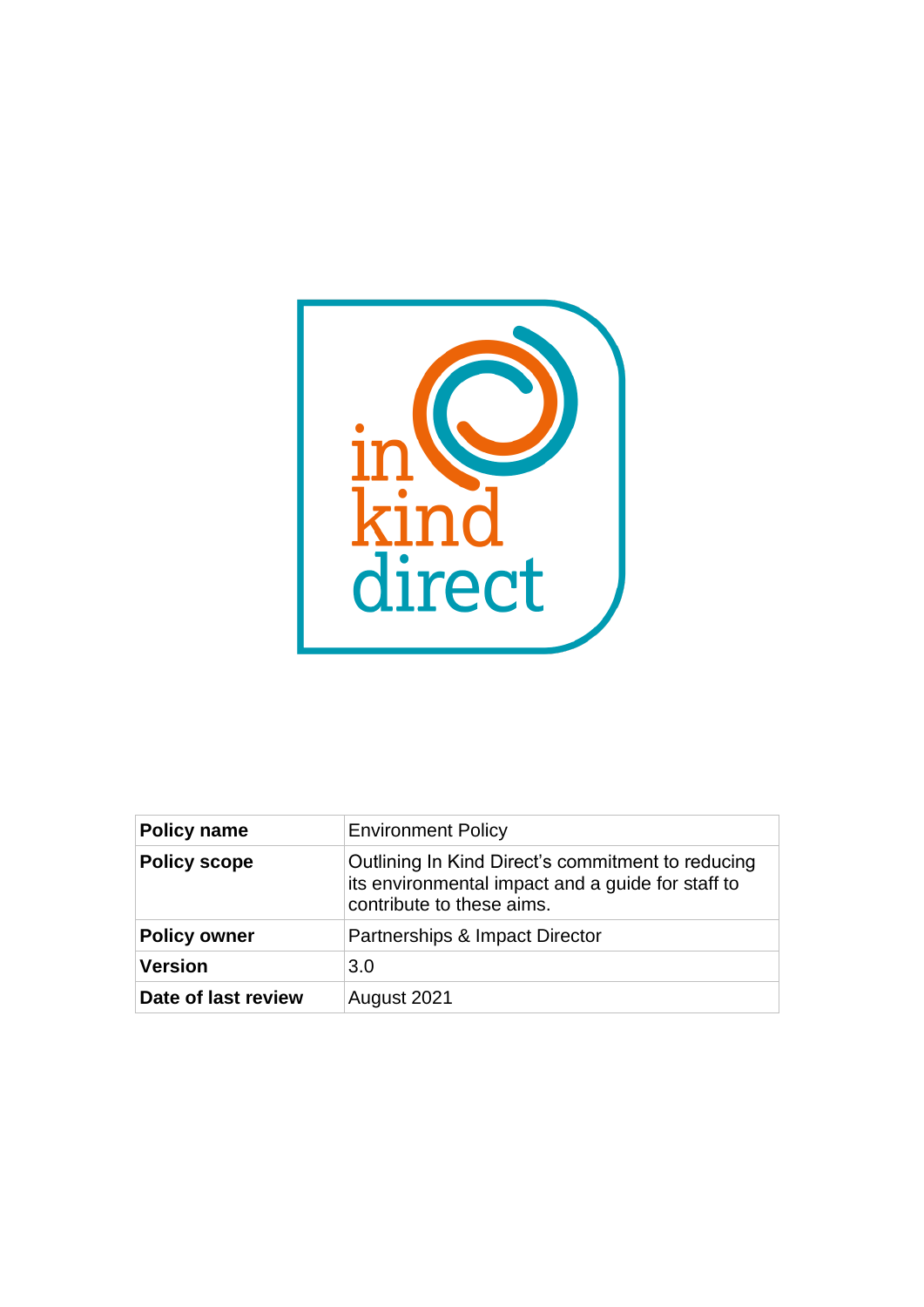

| <b>Policy name</b>  | <b>Environment Policy</b>                                                                                                           |
|---------------------|-------------------------------------------------------------------------------------------------------------------------------------|
| <b>Policy scope</b> | Outlining In Kind Direct's commitment to reducing<br>its environmental impact and a guide for staff to<br>contribute to these aims. |
| <b>Policy owner</b> | Partnerships & Impact Director                                                                                                      |
| <b>Version</b>      | 3.0                                                                                                                                 |
| Date of last review | August 2021                                                                                                                         |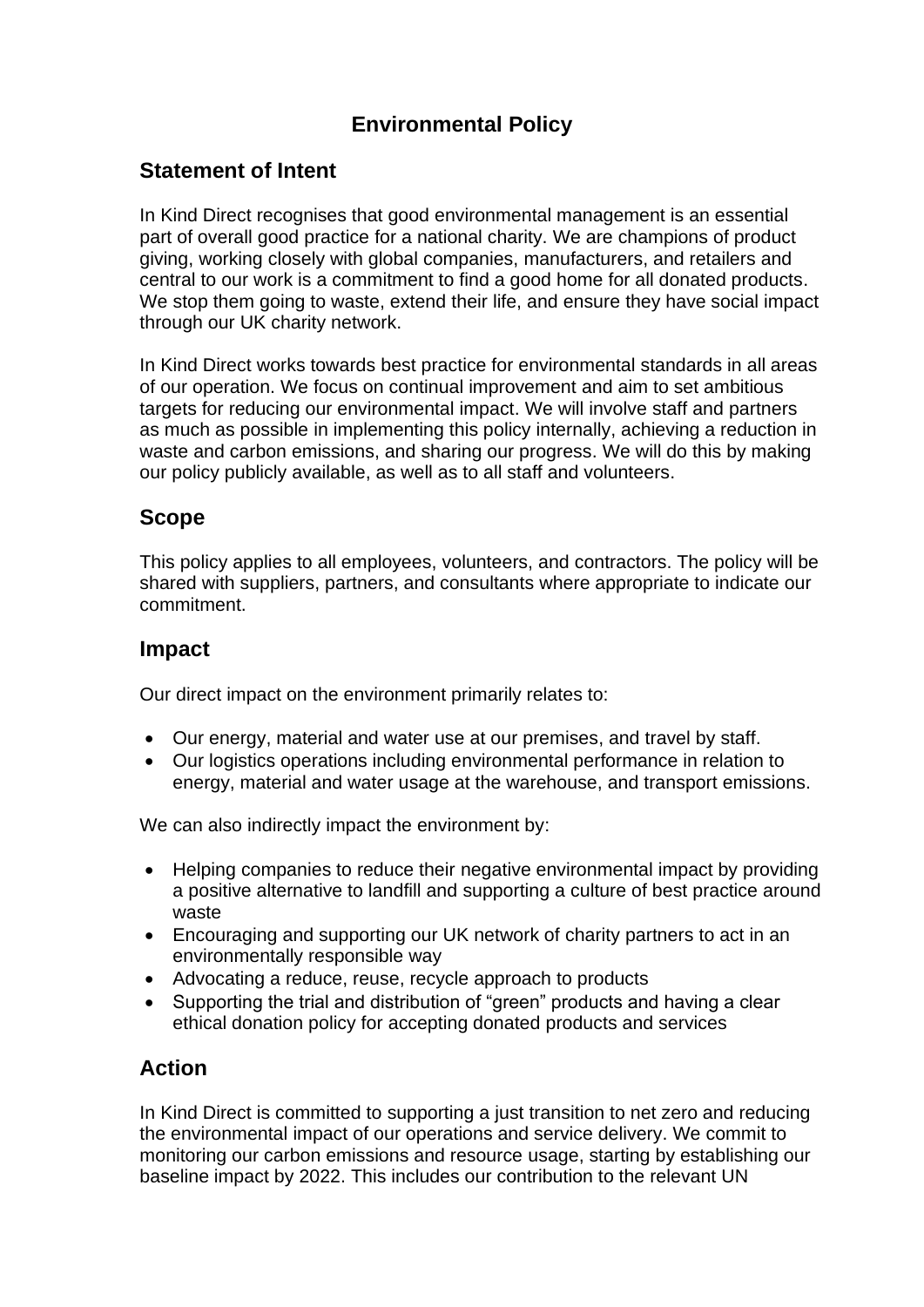# **Environmental Policy**

## **Statement of Intent**

In Kind Direct recognises that good environmental management is an essential part of overall good practice for a national charity. We are champions of product giving, working closely with global companies, manufacturers, and retailers and central to our work is a commitment to find a good home for all donated products. We stop them going to waste, extend their life, and ensure they have social impact through our UK charity network.

In Kind Direct works towards best practice for environmental standards in all areas of our operation. We focus on continual improvement and aim to set ambitious targets for reducing our environmental impact. We will involve staff and partners as much as possible in implementing this policy internally, achieving a reduction in waste and carbon emissions, and sharing our progress. We will do this by making our policy publicly available, as well as to all staff and volunteers.

### **Scope**

This policy applies to all employees, volunteers, and contractors. The policy will be shared with suppliers, partners, and consultants where appropriate to indicate our commitment.

## **Impact**

Our direct impact on the environment primarily relates to:

- Our energy, material and water use at our premises, and travel by staff.
- Our logistics operations including environmental performance in relation to energy, material and water usage at the warehouse, and transport emissions.

We can also indirectly impact the environment by:

- Helping companies to reduce their negative environmental impact by providing a positive alternative to landfill and supporting a culture of best practice around waste
- Encouraging and supporting our UK network of charity partners to act in an environmentally responsible way
- Advocating a reduce, reuse, recycle approach to products
- Supporting the trial and distribution of "green" products and having a clear ethical donation policy for accepting donated products and services

## **Action**

In Kind Direct is committed to supporting a just transition to net zero and reducing the environmental impact of our operations and service delivery. We commit to monitoring our carbon emissions and resource usage, starting by establishing our baseline impact by 2022. This includes our contribution to the relevant UN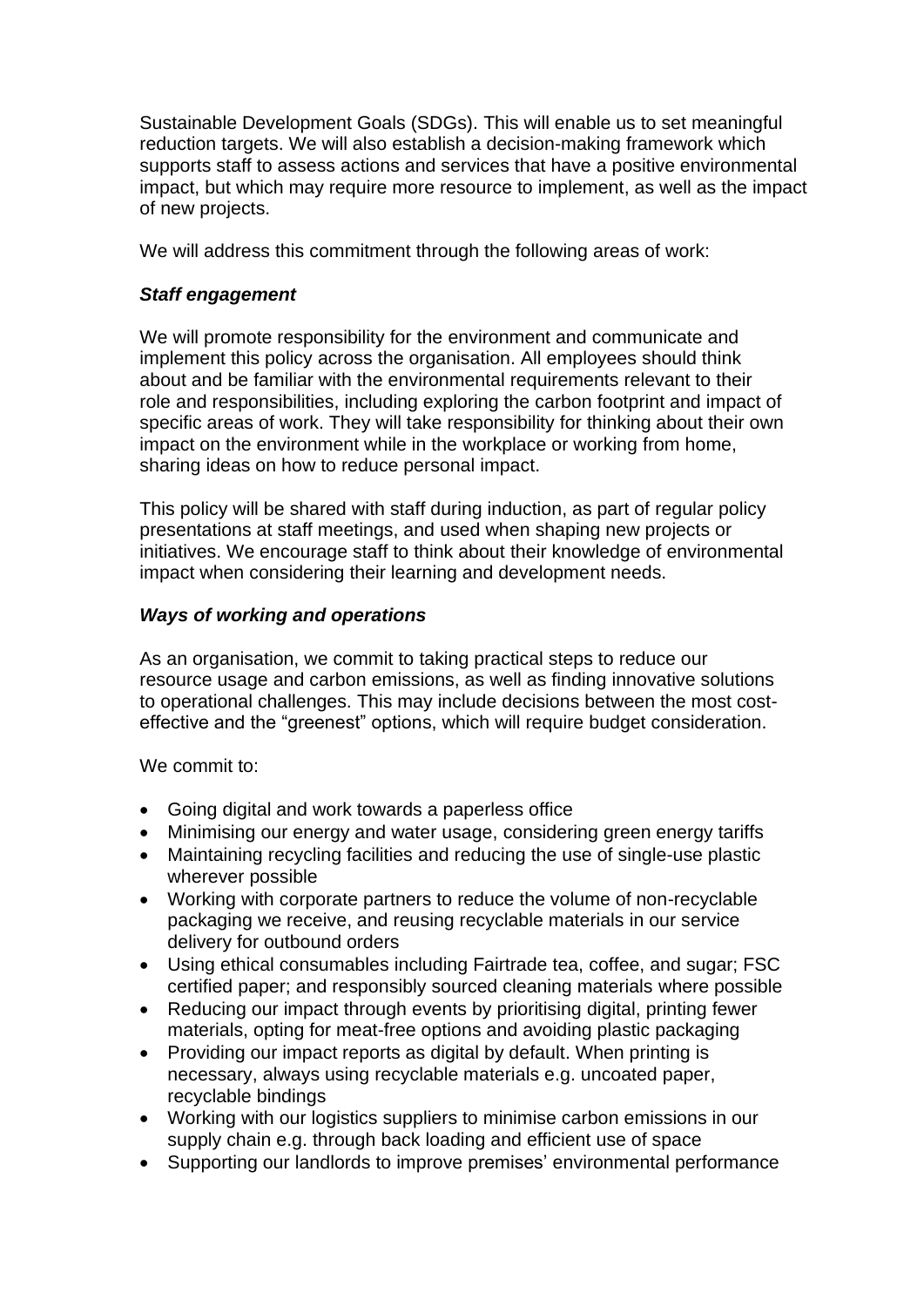Sustainable Development Goals (SDGs). This will enable us to set meaningful reduction targets. We will also establish a decision-making framework which supports staff to assess actions and services that have a positive environmental impact, but which may require more resource to implement, as well as the impact of new projects.

We will address this commitment through the following areas of work:

#### *Staff engagement*

We will promote responsibility for the environment and communicate and implement this policy across the organisation. All employees should think about and be familiar with the environmental requirements relevant to their role and responsibilities, including exploring the carbon footprint and impact of specific areas of work. They will take responsibility for thinking about their own impact on the environment while in the workplace or working from home, sharing ideas on how to reduce personal impact.

This policy will be shared with staff during induction, as part of regular policy presentations at staff meetings, and used when shaping new projects or initiatives. We encourage staff to think about their knowledge of environmental impact when considering their learning and development needs.

#### *Ways of working and operations*

As an organisation, we commit to taking practical steps to reduce our resource usage and carbon emissions, as well as finding innovative solutions to operational challenges. This may include decisions between the most costeffective and the "greenest" options, which will require budget consideration.

We commit to:

- Going digital and work towards a paperless office
- Minimising our energy and water usage, considering green energy tariffs
- Maintaining recycling facilities and reducing the use of single-use plastic wherever possible
- Working with corporate partners to reduce the volume of non-recyclable packaging we receive, and reusing recyclable materials in our service delivery for outbound orders
- Using ethical consumables including Fairtrade tea, coffee, and sugar; FSC certified paper; and responsibly sourced cleaning materials where possible
- Reducing our impact through events by prioritising digital, printing fewer materials, opting for meat-free options and avoiding plastic packaging
- Providing our impact reports as digital by default. When printing is necessary, always using recyclable materials e.g. uncoated paper, recyclable bindings
- Working with our logistics suppliers to minimise carbon emissions in our supply chain e.g. through back loading and efficient use of space
- Supporting our landlords to improve premises' environmental performance